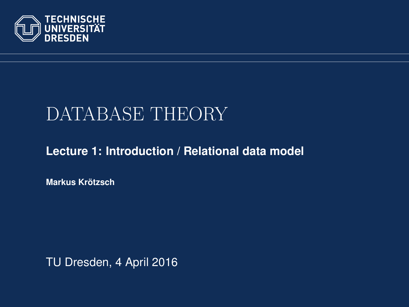

# DATABASE THEORY

#### **[Lecture 1: Introduction / Relational data model](https://ddll.inf.tu-dresden.de/web/Database_Theory_%28SS2016%29/en)**

**[Markus Krotzsch](http://korrekt.org/) ¨**

<span id="page-0-0"></span>TU Dresden, 4 April 2016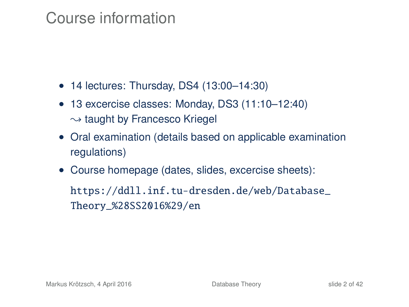### Course information

- 14 lectures: Thursday, DS4 (13:00–14:30)
- 13 excercise classes: Monday, DS3 (11:10–12:40)  $\rightarrow$  taught by Francesco Kriegel
- Oral examination (details based on applicable examination regulations)
- Course homepage (dates, slides, excercise sheets):

[https://ddll.inf.tu-dresden.de/web/Database\\_](https://ddll.inf.tu-dresden.de/web/Database_Theory_%28SS2016%29/en) [Theory\\_%28SS2016%29/en](https://ddll.inf.tu-dresden.de/web/Database_Theory_%28SS2016%29/en)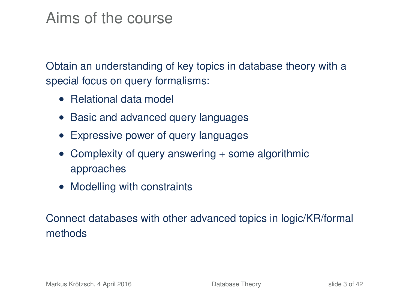### Aims of the course

Obtain an understanding of key topics in database theory with a special focus on query formalisms:

- Relational data model
- Basic and advanced query languages
- Expressive power of query languages
- Complexity of query answering + some algorithmic approaches
- Modelling with constraints

Connect databases with other advanced topics in logic/KR/formal methods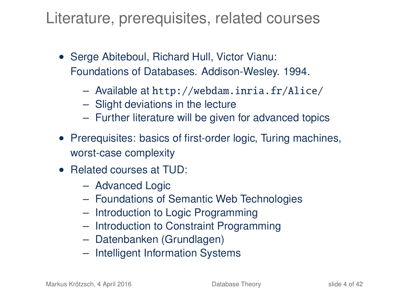Literature, prerequisites, related courses

- Serge Abiteboul, Richard Hull, Victor Vianu: Foundations of Databases. Addison-Wesley. 1994.
	- Available at <http://webdam.inria.fr/Alice/>
	- Slight deviations in the lecture
	- Further literature will be given for advanced topics
- Prerequisites: basics of first-order logic, Turing machines, worst-case complexity
- Related courses at TUD:
	- Advanced Logic
	- Foundations of Semantic Web Technologies
	- Introduction to Logic Programming
	- Introduction to Constraint Programming
	- Datenbanken (Grundlagen)
	- Intelligent Information Systems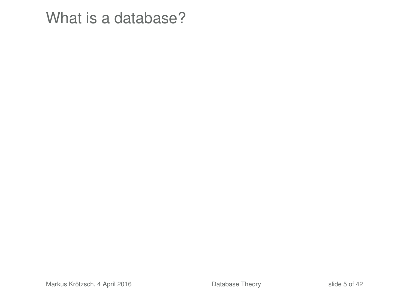What is a database?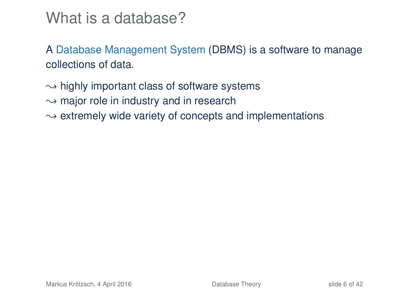### What is a database?

A Database Management System (DBMS) is a software to manage collections of data.

- $\rightarrow$  highly important class of software systems
- $\rightarrow$  major role in industry and in research
- $\rightarrow$  extremely wide variety of concepts and implementations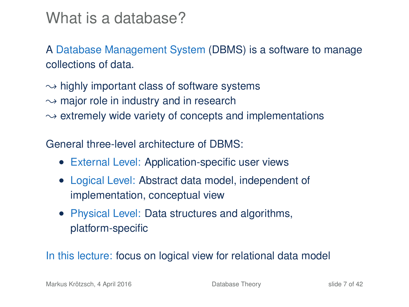### What is a database?

A Database Management System (DBMS) is a software to manage collections of data.

 $\rightarrow$  highly important class of software systems  $\rightarrow$  major role in industry and in research  $\rightarrow$  extremely wide variety of concepts and implementations

General three-level architecture of DBMS:

- External Level: Application-specific user views
- Logical Level: Abstract data model, independent of implementation, conceptual view
- Physical Level: Data structures and algorithms, platform-specific

In this lecture: focus on logical view for relational data model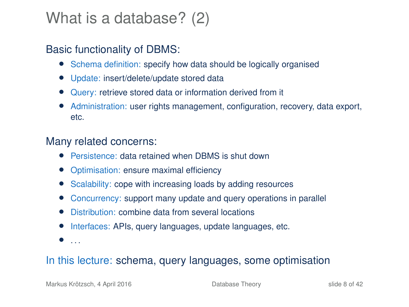### What is a database? (2)

#### Basic functionality of DBMS:

- Schema definition: specify how data should be logically organised
- Update: insert/delete/update stored data
- Query: retrieve stored data or information derived from it
- Administration: user rights management, configuration, recovery, data export, etc.

#### Many related concerns:

- Persistence: data retained when DBMS is shut down
- Optimisation: ensure maximal efficiency
- Scalability: cope with increasing loads by adding resources
- Concurrency: support many update and query operations in parallel
- Distribution: combine data from several locations
- Interfaces: APIs, query languages, update languages, etc.
- $\bullet$  ...

#### In this lecture: schema, query languages, some optimisation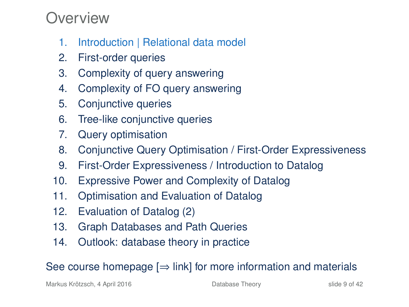### Overview

- 1. Introduction | Relational data model
- 2. First-order queries
- 3. Complexity of query answering
- 4. Complexity of FO query answering
- 5. Conjunctive queries
- 6. Tree-like conjunctive queries
- 7. Query optimisation
- 8. Conjunctive Query Optimisation / First-Order Expressiveness
- 9. First-Order Expressiveness / Introduction to Datalog
- 10. Expressive Power and Complexity of Datalog
- 11. Optimisation and Evaluation of Datalog
- 12. Evaluation of Datalog (2)
- 13. Graph Databases and Path Queries
- 14. Outlook: database theory in practice

See course homepage  $[\Rightarrow]$  link] for more information and materials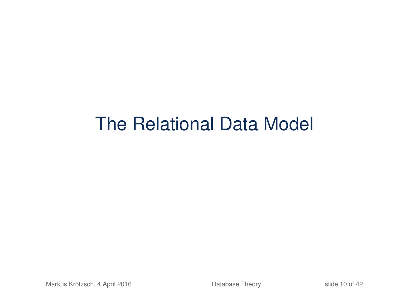# The Relational Data Model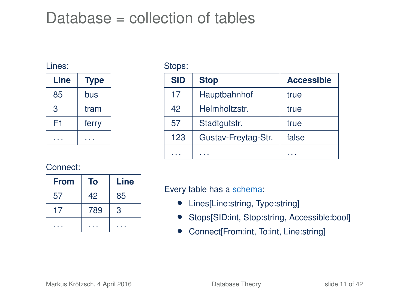### Database = collection of tables

#### Lines:

| Line | <b>Type</b> |
|------|-------------|
| 85   | bus         |
| З    | tram        |
| F1   | ferry       |
|      |             |

Stops:

| <b>SID</b> | <b>Stop</b>         | <b>Accessible</b> |
|------------|---------------------|-------------------|
| 17         | Hauptbahnhof        | true              |
| 42         | Helmholtzstr.       | true              |
| 57         | Stadtgutstr.        | true              |
| 123        | Gustav-Freytag-Str. | false             |
|            |                     |                   |

#### Connect:

| <b>From</b> | То  | Line |
|-------------|-----|------|
| 57          | 42  | 85   |
|             | 789 | 3    |
|             |     |      |

Every table has a schema:

- Lines[Line:string, Type:string]
- Stops[SID:int, Stop:string, Accessible:bool]
- Connect[From:int, To:int, Line:string]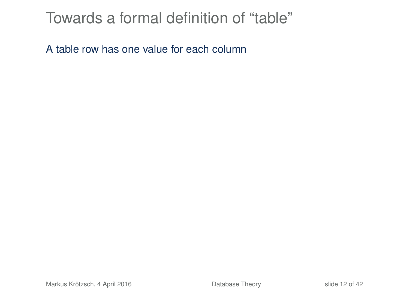### Towards a formal definition of "table"

A table row has one value for each column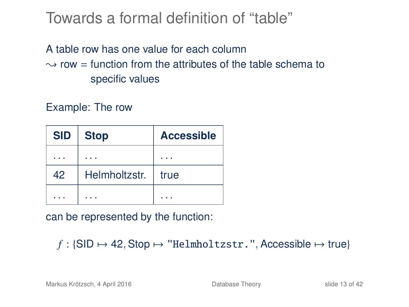### Towards a formal definition of "table"

#### A table row has one value for each column  $\rightarrow$  row = function from the attributes of the table schema to specific values

Example: The row

| <b>SID</b> | <b>Stop</b>   | <b>Accessible</b> |
|------------|---------------|-------------------|
|            |               |                   |
| 42         | Helmholtzstr. | true              |
|            |               |                   |

can be represented by the function:

```
f : \{\text{SID} \mapsto 42, \text{Stop} \mapsto \text{"Helmholtzstr."}, \text{Accessible} \mapsto \text{true}\}
```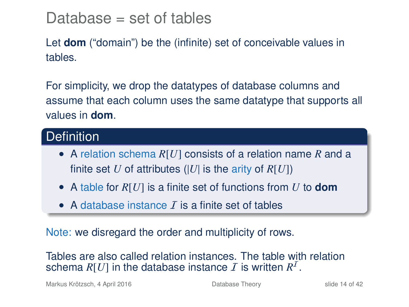### Database = set of tables

Let **dom** ("domain") be the (infinite) set of conceivable values in tables.

For simplicity, we drop the datatypes of database columns and assume that each column uses the same datatype that supports all values in **dom**.

#### **Definition**

- A relation schema *R*[*U*] consists of a relation name *R* and a finite set *U* of attributes (|*U*| is the arity of  $R[U]$ )
- A table for *R*[*U*] is a finite set of functions from *U* to **dom**
- A database instance  $\bar{I}$  is a finite set of tables

Note: we disregard the order and multiplicity of rows.

Tables are also called relation instances. The table with relation schema  $R[U]$  in the database instance  $I$  is written  $R^I$ .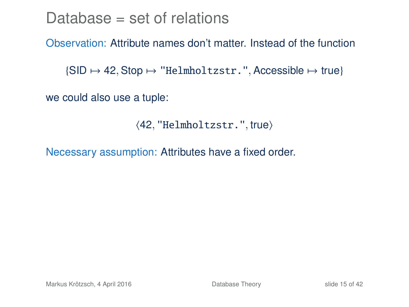### Database  $=$  set of relations

#### Observation: Attribute names don't matter. Instead of the function

 $\{SID \mapsto 42, Stop \mapsto "Helmholtzstr."$ , Accessible  $\mapsto$  true}

we could also use a tuple:

```
\langle 42, "Helmholtzstr.", true)
```
Necessary assumption: Attributes have a fixed order.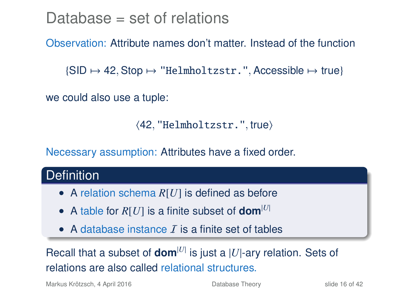### Database = set of relations

#### Observation: Attribute names don't matter. Instead of the function

 $\{\text{SID} \mapsto 42, \text{Stop} \mapsto \text{"Helmholtzstr."}, \text{Accessible} \mapsto \text{true}\}$ 

we could also use a tuple:

 $\langle 42, "Helmholtzstr."$ , true)

Necessary assumption: Attributes have a fixed order.

#### **Definition**

- A relation schema *R*[*U*] is defined as before
- A table for  $R[U]$  is a finite subset of **dom**<sup>[U]</sup>
- A database instance  $\bar{I}$  is a finite set of tables

Recall that a subset of **dom**<sup>[*U*]</sup> is just a  $|U|$ -ary relation. Sets of relations are also called relational structures.

Markus Krötzsch, 4 April 2016 **[Database Theory](#page-0-0)** Slide 16 of 42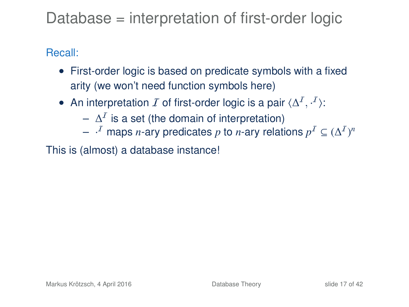### Database = interpretation of first-order logic

#### Recall:

- First-order logic is based on predicate symbols with a fixed arity (we won't need function symbols here)
- An interpretation  $I$  of first-order logic is a pair  $\langle \Delta^I, \cdot^I \rangle$ :
	- $\Delta^{\mathcal{I}}$  is a set (the domain of interpretation)
	- $\vdash \cdot^I$  maps *n*-ary predicates  $p$  to *n*-ary relations  $p^I \subseteq (\Delta^I)^n$

This is (almost) a database instance!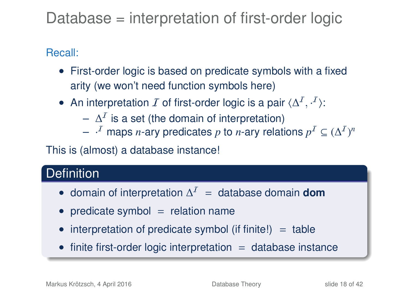### Database = interpretation of first-order logic

#### Recall:

- First-order logic is based on predicate symbols with a fixed arity (we won't need function symbols here)
- An interpretation  $I$  of first-order logic is a pair  $\langle \Delta^I, \cdot^I \rangle$ :
	- $\Delta^{\mathcal{I}}$  is a set (the domain of interpretation)
	- $\vdash \cdot^I$  maps *n*-ary predicates  $p$  to *n*-ary relations  $p^I \subseteq (\Delta^I)^n$

This is (almost) a database instance!

#### **Definition**

- domain of interpretation  $\Delta^I$  = database domain **dom**
- predicate symbol  $=$  relation name
- interpretation of predicate symbol (if finite!)  $=$  table
- $\bullet$  finite first-order logic interpretation  $=$  database instance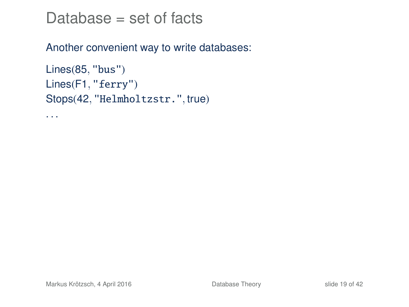$Database = set of facts$ 

Another convenient way to write databases:

```
Lines(85, "bus")
Lines(F1, "ferry")
Stops(42, "Helmholtzstr.", true)
```
. . .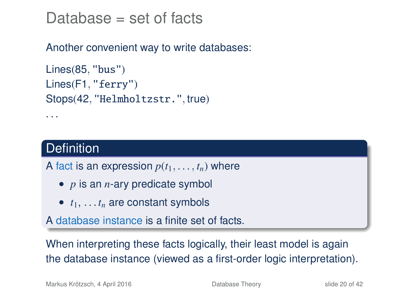Database  $=$  set of facts

Another convenient way to write databases:

```
Lines(85, "bus")
Lines(F1, "ferry")
Stops(42, "Helmholtzstr.", true)
```
#### **Definition**

. . .

A fact is an expression  $p(t_1, \ldots, t_n)$  where

- *p* is an *n*-ary predicate symbol
- $\bullet$   $t_1, \ldots, t_n$  are constant symbols

A database instance is a finite set of facts.

When interpreting these facts logically, their least model is again the database instance (viewed as a first-order logic interpretation).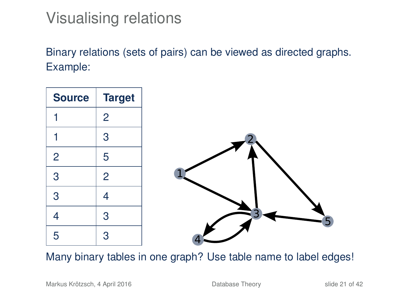### Visualising relations

Binary relations (sets of pairs) can be viewed as directed graphs. Example:



Many binary tables in one graph? Use table name to label edges!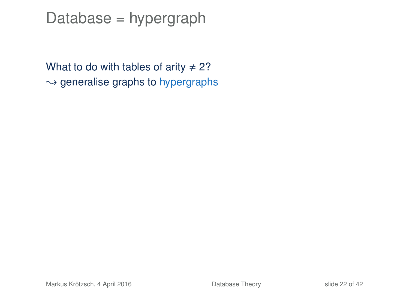### Database = hypergraph

What to do with tables of arity  $\neq$  2?  $\rightarrow$  generalise graphs to hypergraphs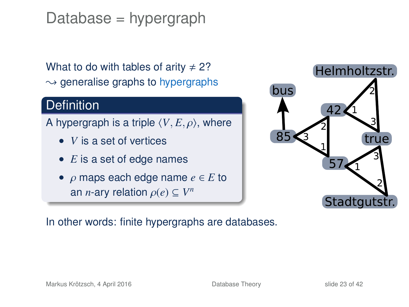Database = hypergraph

What to do with tables of arity  $\neq$  2?  $\rightarrow$  generalise graphs to hypergraphs

#### **Definition**

A hypergraph is a triple  $\langle V, E, \rho \rangle$ , where

- *V* is a set of vertices
- *E* is a set of edge names
- ρ maps each edge name *<sup>e</sup>* <sup>∈</sup> *<sup>E</sup>* to an *n*-ary relation  $\rho(e) \subseteq V^n$



In other words: finite hypergraphs are databases.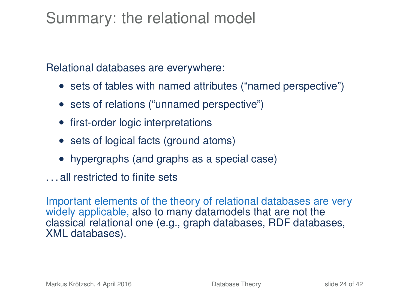### Summary: the relational model

Relational databases are everywhere:

- sets of tables with named attributes ("named perspective")
- sets of relations ("unnamed perspective")
- first-order logic interpretations
- sets of logical facts (ground atoms)
- hypergraphs (and graphs as a special case)
- . . . all restricted to finite sets

Important elements of the theory of relational databases are very widely applicable, also to many datamodels that are not the classical relational one (e.g., graph databases, RDF databases, XML databases).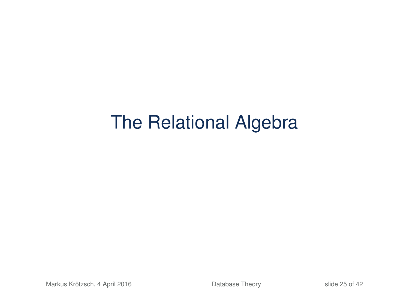# The Relational Algebra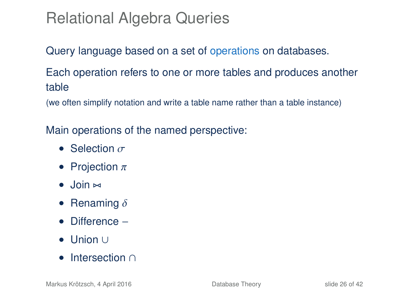### Relational Algebra Queries

Query language based on a set of operations on databases.

Each operation refers to one or more tables and produces another table

(we often simplify notation and write a table name rather than a table instance)

Main operations of the named perspective:

- Selection  $\sigma$
- Projection  $\pi$
- $\bullet$  Join  $\bowtie$
- Renaming  $\delta$
- Difference −
- Union ∪
- Intersection ∩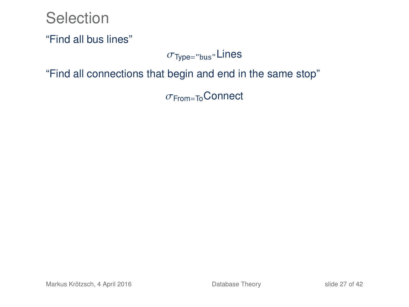#### Selection

"Find all bus lines"

#### $\sigma$ <sub>Type="bus"</sub>Lines

"Find all connections that begin and end in the same stop"

σFrom=ToConnect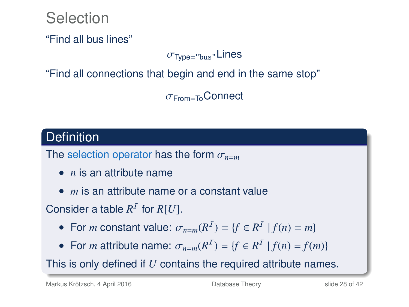Selection

"Find all bus lines"

#### $\sigma$ <sub>Type="bus"</sub>Lines

"Find all connections that begin and end in the same stop"

σFrom=ToConnect

#### **Definition**

The selection operator has the form  $\sigma_{n=m}$ 

- *n* is an attribute name
- *m* is an attribute name or a constant value

Consider a table  $R^I$  for  $R[U]$ .

- For *m* constant value:  $\sigma_{n=m}(R^I) = \{f \in R^I \mid f(n) = m\}$
- For *m* attribute name:  $\sigma_{n=m}(R^I) = \{f \in R^I \mid f(n) = f(m)\}$

This is only defined if *U* contains the required attribute names.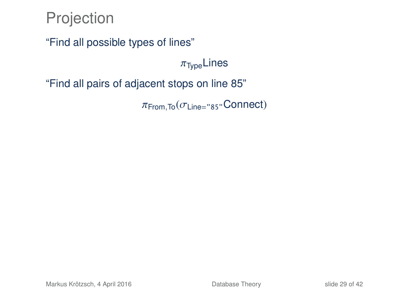### Projection

"Find all possible types of lines"

 $\pi_{\text{Type}}$ Lines

"Find all pairs of adjacent stops on line 85"

 $\pi$ From, To  $(\sigma_{Line='85}$ "Connect)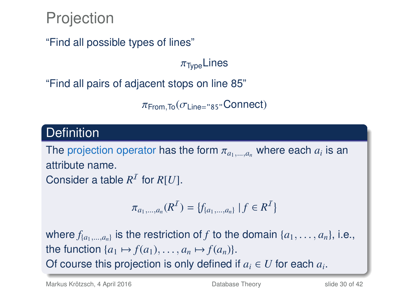### Projection

"Find all possible types of lines"

 $\pi_{\text{Two}}$ Lines

"Find all pairs of adjacent stops on line 85"

 $\pi$ From, To  $(\sigma_{\text{Line} = "85"})$ Connect

#### **Definition**

The projection operator has the form  $\pi_{a_1,\dots,a_n}$  where each  $a_i$  is an attribute name. attribute name. Consider a table  $R^I$  for  $R[U]$ .

$$
\pi_{a_1,\dots,a_n}(R^{\mathcal{I}})=\{f_{\{a_1,\dots,a_n\}}\,|\,f\in R^{\mathcal{I}}\}
$$

where  $f_{\{a_1,\ldots,a_n\}}$  is the restriction of *f* to the domain  $\{a_1,\ldots,a_n\}$ , i.e., the function  $\{a_1 \mapsto f(a_1), \ldots, a_n \mapsto f(a_n)\}.$ Of course this projection is only defined if  $a_i \in U$  for each  $a_i$ .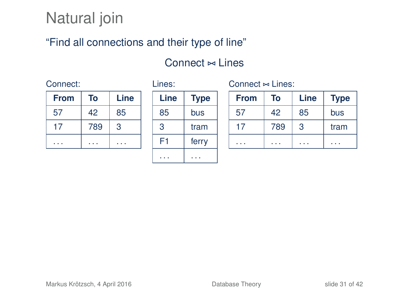## Natural join

#### "Find all connections and their type of line"

#### $Connect \Join Lines$

#### Connect:

| <b>From</b> | Тο  | Line |
|-------------|-----|------|
| 57          | 42  | 85   |
| 17          | 789 | 3    |
|             |     |      |

| ٠ |  |
|---|--|
|   |  |

| Line | <b>Type</b> |  |
|------|-------------|--|
| 85   | bus         |  |
| З    | tram        |  |
| F1   | ferry       |  |
|      |             |  |

Connect  $\approx$  Lines:

| <b>From</b> | To  | Line | <b>Type</b> |
|-------------|-----|------|-------------|
| 57          | 42  | 85   | bus         |
| 17          | 789 | 3    | tram        |
|             |     |      |             |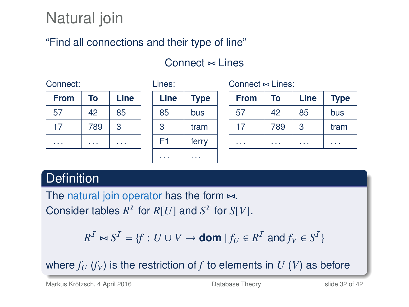## Natural join

#### "Find all connections and their type of line"

Lines:

. . . . . .

#### Connect  $\approx$  Lines

| <b>From</b> | Тο  | Line |
|-------------|-----|------|
| 57          | 42  | 85   |
| 17          | 789 | 3    |
|             |     |      |

| Line | <b>Type</b> |
|------|-------------|
| 85   | bus         |
| 3    | tram        |
| F1   | ferry       |
|      |             |

 $Connect \Join Lines$ :

| <b>From</b> | To  | Line | Type |
|-------------|-----|------|------|
| 57          | 42  | 85   | bus  |
| 17          | 789 | 3    | tram |
|             |     |      |      |

#### **Definition**

The natural join operator has the form  $\approx$ . Consider tables  $R^I$  for  $R[U]$  and  $S^I$  for  $S[V]$ .

 $R^I \bowtie S^I = \{f : U \cup V \rightarrow \textbf{dom} \mid f_U \in R^I \text{ and } f_V \in S^I\}$ 

where  $f_U$  ( $f_V$ ) is the restriction of f to elements in  $U$  ( $V$ ) as before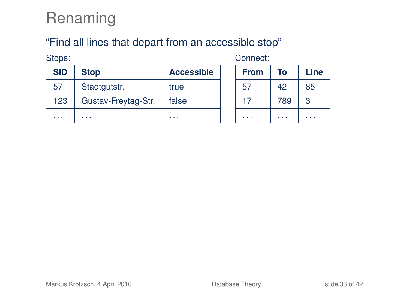### Renaming

#### "Find all lines that depart from an accessible stop"

Stops:

Connect:

| <b>SID</b> | <b>Stop</b>         | <b>Accessible</b> |
|------------|---------------------|-------------------|
| 57         | Stadtgutstr.        | true              |
| 123        | Gustav-Freytag-Str. | false             |
|            |                     |                   |

| <b>From</b> | To  | Line |
|-------------|-----|------|
| 57          | 42  | 85   |
| 17          | 789 | 3    |
|             |     |      |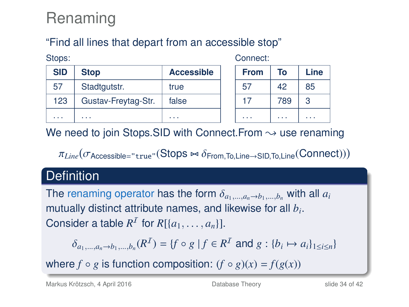## Renaming

Stope:

#### "Find all lines that depart from an accessible stop"

| UNU3.      |                     |                   |  |
|------------|---------------------|-------------------|--|
| <b>SID</b> | <b>Stop</b>         | <b>Accessible</b> |  |
| 57         | Stadtgutstr.        | true              |  |
| 123        | Gustav-Freytag-Str. | false             |  |
|            |                     |                   |  |

Connect:

| <b>From</b> | To  | Line |
|-------------|-----|------|
| 57          | 42  | 85   |
| 17          | 789 | 3    |
|             |     |      |

We need to join Stops.SID with Connect. From  $\rightsquigarrow$  use renaming

 $\pi_{Line}(\sigma_{\text{Accessible}=\text{``true}''}(\text{Stops} \bowtie \delta_{\text{From},\text{To},\text{Line} \rightarrow \text{SID},\text{To},\text{Line}}(\text{Connect})))$ 

#### **Definition**

The renaming operator has the form  $\delta_{a_1,\dots,a_n\to b_1,\dots,b_n}$  with all  $a_i$ mutually distinct attribute names, and likewise for all *b<sup>i</sup>* . Consider a table  $R^I$  for  $R[\{a_1, \ldots, a_n\}].$ 

$$
\delta_{a_1,...,a_n \to b_1,...,b_n}(R^I) = \{f \circ g \mid f \in R^I \text{ and } g : \{b_i \mapsto a_i\}_{1 \le i \le n}\}
$$

where  $f \circ g$  is function composition:  $(f \circ g)(x) = f(g(x))$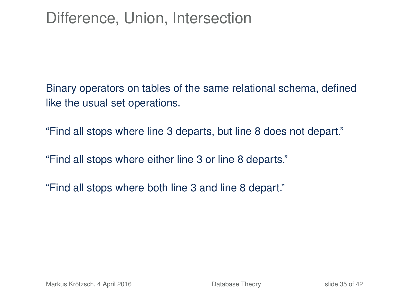### Difference, Union, Intersection

Binary operators on tables of the same relational schema, defined like the usual set operations.

"Find all stops where line 3 departs, but line 8 does not depart."

"Find all stops where either line 3 or line 8 departs."

"Find all stops where both line 3 and line 8 depart."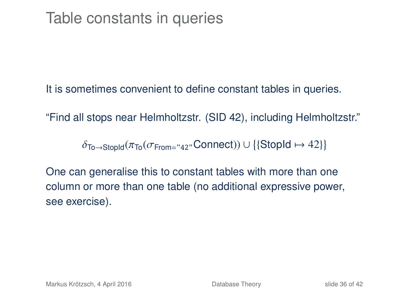It is sometimes convenient to define constant tables in queries.

"Find all stops near Helmholtzstr. (SID 42), including Helmholtzstr."

 $\delta$ To→StopId( $\pi$ To( $\sigma$ From="42"Connect))∪{{StopId  $\mapsto$  42}}

One can generalise this to constant tables with more than one column or more than one table (no additional expressive power, see exercise).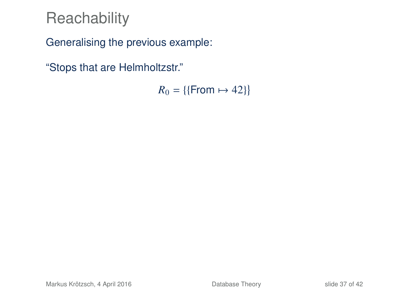Generalising the previous example:

"Stops that are Helmholtzstr."

 $R_0 = \{\{\text{From} \mapsto 42\}\}\$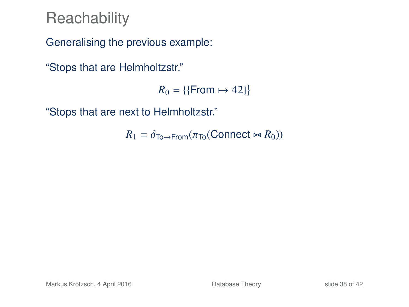Generalising the previous example:

"Stops that are Helmholtzstr."

 $R_0 = \{\{\text{From} \mapsto 42\}\}\$ 

"Stops that are next to Helmholtzstr."

 $R_1 = \delta_{\text{To} \to \text{From}} (\pi_{\text{To}}(\text{Connect} \bowtie R_0))$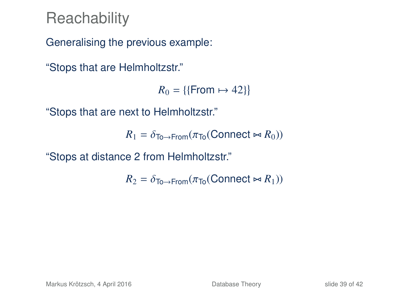Generalising the previous example:

"Stops that are Helmholtzstr."

 $R_0 = \{\{\text{From} \mapsto 42\}\}\$ 

"Stops that are next to Helmholtzstr."

 $R_1 = \delta_{\text{To} \to \text{From}} (\pi_{\text{To}}(\text{Connect} \bowtie R_0))$ 

"Stops at distance 2 from Helmholtzstr."

 $R_2 = \delta_{\text{To} \to \text{From}} (\pi_{\text{To}}(\text{Connect} \bowtie R_1))$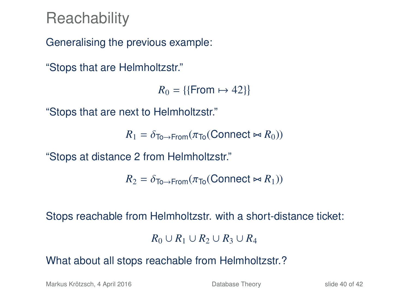Generalising the previous example:

"Stops that are Helmholtzstr."

 $R_0 = \{\{\text{From} \mapsto 42\}\}\$ 

"Stops that are next to Helmholtzstr."

 $R_1 = \delta_{\text{To}\rightarrow \text{From}}(\pi_{\text{To}}(\text{Connect} \bowtie R_0))$ 

"Stops at distance 2 from Helmholtzstr."

 $R_2 = \delta_{\text{To}\rightarrow\text{From}}(\pi_{\text{To}}(\text{Connect} \bowtie R_1))$ 

Stops reachable from Helmholtzstr. with a short-distance ticket:

 $R_0$  ∪  $R_1$  ∪  $R_2$  ∪  $R_3$  ∪  $R_4$ 

What about all stops reachable from Helmholtzstr.?

Markus Krötzsch, 4 April 2016 **[Database Theory](#page-0-0)** Slide 40 of 42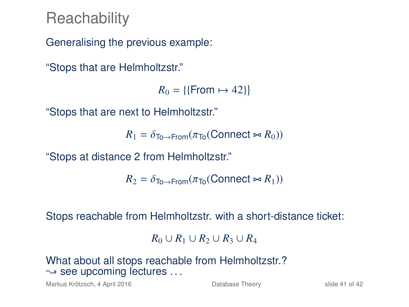Generalising the previous example:

"Stops that are Helmholtzstr."

 $R_0 = \{\{\text{From} \mapsto 42\}\}\$ 

"Stops that are next to Helmholtzstr."

 $R_1 = \delta_{\text{To}\rightarrow \text{From}}(\pi_{\text{To}}(\text{Connect} \bowtie R_0))$ 

"Stops at distance 2 from Helmholtzstr."

 $R_2 = \delta_{\text{To}\rightarrow\text{From}}(\pi_{\text{To}}(\text{Connect} \bowtie R_1))$ 

Stops reachable from Helmholtzstr. with a short-distance ticket:

*R*<sub>0</sub> ∪ *R*<sub>1</sub> ∪ *R*<sub>2</sub> ∪ *R*<sub>4</sub>

What about all stops reachable from Helmholtzstr.?  $\rightarrow$  see upcoming lectures ...

Markus Krötzsch, 4 April 2016 **[Database Theory](#page-0-0)** Slide 41 of 42